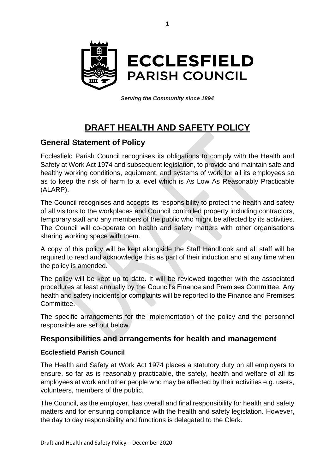

*Serving the Community since 1894*

# **DRAFT HEALTH AND SAFETY POLICY**

#### **General Statement of Policy**

Ecclesfield Parish Council recognises its obligations to comply with the Health and Safety at Work Act 1974 and subsequent legislation, to provide and maintain safe and healthy working conditions, equipment, and systems of work for all its employees so as to keep the risk of harm to a level which is As Low As Reasonably Practicable (ALARP).

The Council recognises and accepts its responsibility to protect the health and safety of all visitors to the workplaces and Council controlled property including contractors, temporary staff and any members of the public who might be affected by its activities. The Council will co-operate on health and safety matters with other organisations sharing working space with them.

A copy of this policy will be kept alongside the Staff Handbook and all staff will be required to read and acknowledge this as part of their induction and at any time when the policy is amended.

The policy will be kept up to date. It will be reviewed together with the associated procedures at least annually by the Council's Finance and Premises Committee. Any health and safety incidents or complaints will be reported to the Finance and Premises Committee.

The specific arrangements for the implementation of the policy and the personnel responsible are set out below.

#### **Responsibilities and arrangements for health and management**

#### **Ecclesfield Parish Council**

The Health and Safety at Work Act 1974 places a statutory duty on all employers to ensure, so far as is reasonably practicable, the safety, health and welfare of all its employees at work and other people who may be affected by their activities e.g. users, volunteers, members of the public.

The Council, as the employer, has overall and final responsibility for health and safety matters and for ensuring compliance with the health and safety legislation. However, the day to day responsibility and functions is delegated to the Clerk.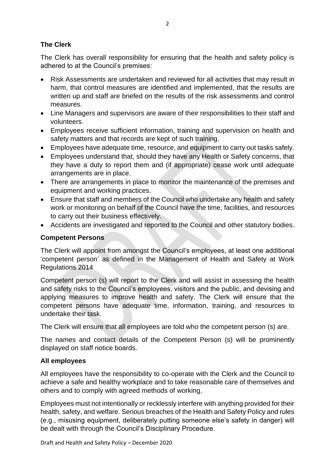#### **The Clerk**

The Clerk has overall responsibility for ensuring that the health and safety policy is adhered to at the Council's premises:

- Risk Assessments are undertaken and reviewed for all activities that may result in harm, that control measures are identified and implemented, that the results are written up and staff are briefed on the results of the risk assessments and control measures.
- Line Managers and supervisors are aware of their responsibilities to their staff and volunteers.
- Employees receive sufficient information, training and supervision on health and safety matters and that records are kept of such training.
- Employees have adequate time, resource, and equipment to carry out tasks safely.
- Employees understand that, should they have any Health or Safety concerns, that they have a duty to report them and (if appropriate) cease work until adequate arrangements are in place.
- There are arrangements in place to monitor the maintenance of the premises and equipment and working practices.
- Ensure that staff and members of the Council who undertake any health and safety work or monitoring on behalf of the Council have the time, facilities, and resources to carry out their business effectively.
- Accidents are investigated and reported to the Council and other statutory bodies.

#### **Competent Persons**

The Clerk will appoint from amongst the Council's employees, at least one additional 'competent person' as defined in the Management of Health and Safety at Work Regulations 2014

Competent person (s) will report to the Clerk and will assist in assessing the health and safety risks to the Council's employees, visitors and the public, and devising and applying measures to improve health and safety. The Clerk will ensure that the competent persons have adequate time, information, training, and resources to undertake their task.

The Clerk will ensure that all employees are told who the competent person (s) are.

The names and contact details of the Competent Person (s) will be prominently displayed on staff notice boards.

#### **All employees**

All employees have the responsibility to co-operate with the Clerk and the Council to achieve a safe and healthy workplace and to take reasonable care of themselves and others and to comply with agreed methods of working.

Employees must not intentionally or recklessly interfere with anything provided for their health, safety, and welfare. Serious breaches of the Health and Safety Policy and rules (e.g., misusing equipment, deliberately putting someone else's safety in danger) will be dealt with through the Council's Disciplinary Procedure.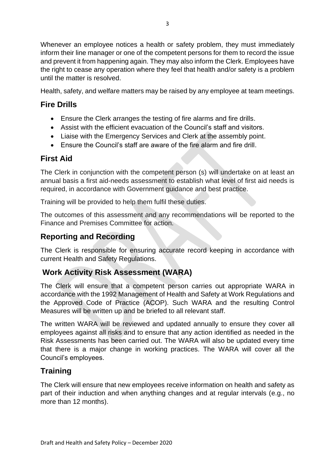Whenever an employee notices a health or safety problem, they must immediately inform their line manager or one of the competent persons for them to record the issue and prevent it from happening again. They may also inform the Clerk. Employees have the right to cease any operation where they feel that health and/or safety is a problem until the matter is resolved.

Health, safety, and welfare matters may be raised by any employee at team meetings.

# **Fire Drills**

- Ensure the Clerk arranges the testing of fire alarms and fire drills.
- Assist with the efficient evacuation of the Council's staff and visitors.
- Liaise with the Emergency Services and Clerk at the assembly point.
- Ensure the Council's staff are aware of the fire alarm and fire drill.

# **First Aid**

The Clerk in conjunction with the competent person (s) will undertake on at least an annual basis a first aid-needs assessment to establish what level of first aid needs is required, in accordance with Government guidance and best practice.

Training will be provided to help them fulfil these duties.

The outcomes of this assessment and any recommendations will be reported to the Finance and Premises Committee for action.

# **Reporting and Recording**

The Clerk is responsible for ensuring accurate record keeping in accordance with current Health and Safety Regulations.

### **Work Activity Risk Assessment (WARA)**

The Clerk will ensure that a competent person carries out appropriate WARA in accordance with the 1992 Management of Health and Safety at Work Regulations and the Approved Code of Practice (ACOP). Such WARA and the resulting Control Measures will be written up and be briefed to all relevant staff.

The written WARA will be reviewed and updated annually to ensure they cover all employees against all risks and to ensure that any action identified as needed in the Risk Assessments has been carried out. The WARA will also be updated every time that there is a major change in working practices. The WARA will cover all the Council's employees.

# **Training**

The Clerk will ensure that new employees receive information on health and safety as part of their induction and when anything changes and at regular intervals (e.g., no more than 12 months).